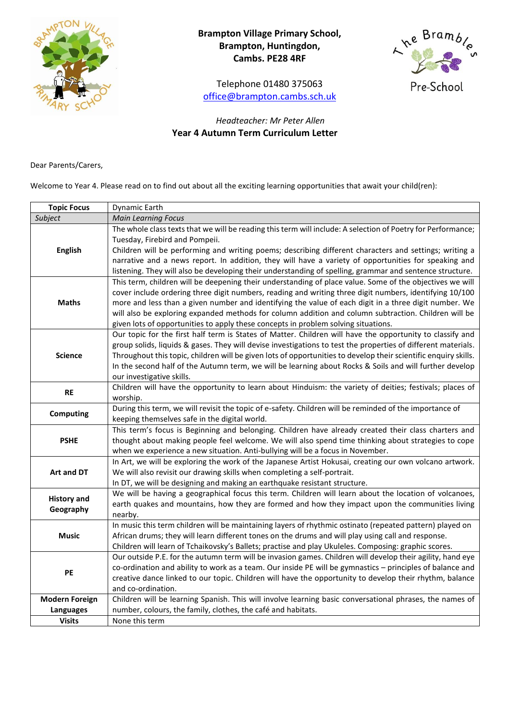

# **Brampton Village Primary School, Brampton, Huntingdon, Cambs. PE28 4RF**

Telephone 01480 375063 [office@brampton.cambs.sch.uk](mailto:office@brampton.cambs.sch.uk)



## *Headteacher: Mr Peter Allen* **Year 4 Autumn Term Curriculum Letter**

Dear Parents/Carers,

Welcome to Year 4. Please read on to find out about all the exciting learning opportunities that await your child(ren):

| <b>Topic Focus</b>              | Dynamic Earth                                                                                                                                                                                                                                                                                                                                                                                                                                                                                                              |
|---------------------------------|----------------------------------------------------------------------------------------------------------------------------------------------------------------------------------------------------------------------------------------------------------------------------------------------------------------------------------------------------------------------------------------------------------------------------------------------------------------------------------------------------------------------------|
| Subject                         | <b>Main Learning Focus</b>                                                                                                                                                                                                                                                                                                                                                                                                                                                                                                 |
| <b>English</b>                  | The whole class texts that we will be reading this term will include: A selection of Poetry for Performance;<br>Tuesday, Firebird and Pompeii.<br>Children will be performing and writing poems; describing different characters and settings; writing a<br>narrative and a news report. In addition, they will have a variety of opportunities for speaking and<br>listening. They will also be developing their understanding of spelling, grammar and sentence structure.                                               |
| <b>Maths</b>                    | This term, children will be deepening their understanding of place value. Some of the objectives we will<br>cover include ordering three digit numbers, reading and writing three digit numbers, identifying 10/100<br>more and less than a given number and identifying the value of each digit in a three digit number. We<br>will also be exploring expanded methods for column addition and column subtraction. Children will be<br>given lots of opportunities to apply these concepts in problem solving situations. |
| <b>Science</b>                  | Our topic for the first half term is States of Matter. Children will have the opportunity to classify and<br>group solids, liquids & gases. They will devise investigations to test the properties of different materials.<br>Throughout this topic, children will be given lots of opportunities to develop their scientific enquiry skills.<br>In the second half of the Autumn term, we will be learning about Rocks & Soils and will further develop<br>our investigative skills.                                      |
| <b>RE</b>                       | Children will have the opportunity to learn about Hinduism: the variety of deities; festivals; places of<br>worship.                                                                                                                                                                                                                                                                                                                                                                                                       |
| <b>Computing</b>                | During this term, we will revisit the topic of e-safety. Children will be reminded of the importance of<br>keeping themselves safe in the digital world.                                                                                                                                                                                                                                                                                                                                                                   |
| <b>PSHE</b>                     | This term's focus is Beginning and belonging. Children have already created their class charters and<br>thought about making people feel welcome. We will also spend time thinking about strategies to cope<br>when we experience a new situation. Anti-bullying will be a focus in November.                                                                                                                                                                                                                              |
| Art and DT                      | In Art, we will be exploring the work of the Japanese Artist Hokusai, creating our own volcano artwork.<br>We will also revisit our drawing skills when completing a self-portrait.<br>In DT, we will be designing and making an earthquake resistant structure.                                                                                                                                                                                                                                                           |
| <b>History and</b><br>Geography | We will be having a geographical focus this term. Children will learn about the location of volcanoes,<br>earth quakes and mountains, how they are formed and how they impact upon the communities living<br>nearby.                                                                                                                                                                                                                                                                                                       |
| <b>Music</b>                    | In music this term children will be maintaining layers of rhythmic ostinato (repeated pattern) played on<br>African drums; they will learn different tones on the drums and will play using call and response.<br>Children will learn of Tchaikovsky's Ballets; practise and play Ukuleles. Composing: graphic scores.                                                                                                                                                                                                     |
| PE                              | Our outside P.E. for the autumn term will be invasion games. Children will develop their agility, hand eye<br>co-ordination and ability to work as a team. Our inside PE will be gymnastics - principles of balance and<br>creative dance linked to our topic. Children will have the opportunity to develop their rhythm, balance<br>and co-ordination.                                                                                                                                                                   |
| <b>Modern Foreign</b>           | Children will be learning Spanish. This will involve learning basic conversational phrases, the names of                                                                                                                                                                                                                                                                                                                                                                                                                   |
| <b>Languages</b>                | number, colours, the family, clothes, the café and habitats.                                                                                                                                                                                                                                                                                                                                                                                                                                                               |
| <b>Visits</b>                   | None this term                                                                                                                                                                                                                                                                                                                                                                                                                                                                                                             |